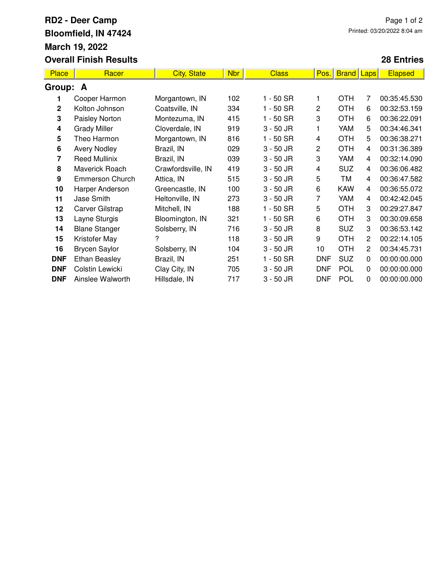## **RD2 - Deer Camp Bloomfield, IN 47424 March 19, 2022 Overall Finish Results**

## **28 Entries**

| Place      | Racer                  | <b>City, State</b> | Nbr | <b>Class</b> | Pos.       | <b>Brand</b> | Laps | <b>Elapsed</b> |  |  |  |
|------------|------------------------|--------------------|-----|--------------|------------|--------------|------|----------------|--|--|--|
| Group: A   |                        |                    |     |              |            |              |      |                |  |  |  |
|            | Cooper Harmon          | Morgantown, IN     | 102 | 1 - 50 SR    | 1          | <b>OTH</b>   | 7    | 00:35:45.530   |  |  |  |
| 2          | Kolton Johnson         | Coatsville, IN     | 334 | $1 - 50$ SR  | 2          | <b>OTH</b>   | 6    | 00:32:53.159   |  |  |  |
| 3          | Paisley Norton         | Montezuma, IN      | 415 | $1 - 50$ SR  | 3          | <b>OTH</b>   | 6    | 00:36:22.091   |  |  |  |
| 4          | <b>Grady Miller</b>    | Cloverdale, IN     | 919 | $3 - 50$ JR  |            | YAM          | 5    | 00:34:46.341   |  |  |  |
| 5          | Theo Harmon            | Morgantown, IN     | 816 | $1 - 50$ SR  | 4          | <b>OTH</b>   | 5    | 00:36:38.271   |  |  |  |
| 6          | <b>Avery Nodley</b>    | Brazil, IN         | 029 | $3 - 50$ JR  | 2          | <b>OTH</b>   | 4    | 00:31:36.389   |  |  |  |
| 7          | <b>Reed Mullinix</b>   | Brazil, IN         | 039 | $3 - 50$ JR  | 3          | YAM          | 4    | 00:32:14.090   |  |  |  |
| 8          | Maverick Roach         | Crawfordsville, IN | 419 | $3 - 50$ JR  | 4          | <b>SUZ</b>   | 4    | 00:36:06.482   |  |  |  |
| 9          | <b>Emmerson Church</b> | Attica, IN         | 515 | $3 - 50$ JR  | 5          | TM           | 4    | 00:36:47.582   |  |  |  |
| 10         | Harper Anderson        | Greencastle, IN    | 100 | $3 - 50$ JR  | 6          | <b>KAW</b>   | 4    | 00:36:55.072   |  |  |  |
| 11         | Jase Smith             | Heltonville, IN    | 273 | 3 - 50 JR    | 7          | YAM          | 4    | 00:42:42.045   |  |  |  |
| 12         | Carver Gilstrap        | Mitchell, IN       | 188 | $1 - 50$ SR  | 5          | <b>OTH</b>   | 3    | 00:29:27.847   |  |  |  |
| 13         | Layne Sturgis          | Bloomington, IN    | 321 | 1 - 50 SR    | 6          | <b>OTH</b>   | 3    | 00:30:09.658   |  |  |  |
| 14         | <b>Blane Stanger</b>   | Solsberry, IN      | 716 | $3 - 50$ JR  | 8          | <b>SUZ</b>   | 3    | 00:36:53.142   |  |  |  |
| 15         | Kristofer May          | 7                  | 118 | $3 - 50$ JR  | 9          | <b>OTH</b>   | 2    | 00:22:14.105   |  |  |  |
| 16         | <b>Brycen Saylor</b>   | Solsberry, IN      | 104 | $3 - 50$ JR  | 10         | <b>OTH</b>   | 2    | 00:34:45.731   |  |  |  |
| <b>DNF</b> | <b>Ethan Beasley</b>   | Brazil, IN         | 251 | 1 - 50 SR    | <b>DNF</b> | <b>SUZ</b>   | 0    | 00:00:00.000   |  |  |  |
| <b>DNF</b> | Colstin Lewicki        | Clay City, IN      | 705 | $3 - 50$ JR  | <b>DNF</b> | <b>POL</b>   | 0    | 00:00:00.000   |  |  |  |
| <b>DNF</b> | Ainslee Walworth       | Hillsdale, IN      | 717 | $3 - 50$ JR  | <b>DNF</b> | POL          | 0    | 00:00:00.000   |  |  |  |